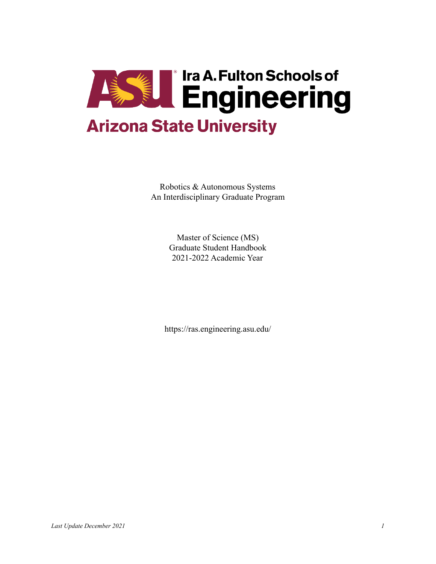

Robotics & Autonomous Systems An Interdisciplinary Graduate Program

> Master of Science (MS) Graduate Student Handbook 2021-2022 Academic Year

https://ras.engineering.asu.edu/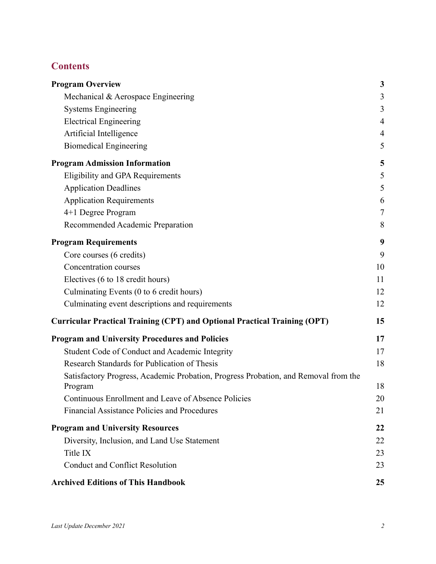# **Contents**

| <b>Program Overview</b>                                                                        | $\mathbf{3}$ |
|------------------------------------------------------------------------------------------------|--------------|
| Mechanical & Aerospace Engineering                                                             | 3            |
| <b>Systems Engineering</b>                                                                     | 3            |
| <b>Electrical Engineering</b>                                                                  | 4            |
| Artificial Intelligence                                                                        | 4            |
| <b>Biomedical Engineering</b>                                                                  | 5            |
| <b>Program Admission Information</b>                                                           | 5            |
| Eligibility and GPA Requirements                                                               | 5            |
| <b>Application Deadlines</b>                                                                   | 5            |
| <b>Application Requirements</b>                                                                | 6            |
| 4+1 Degree Program                                                                             | $\tau$       |
| Recommended Academic Preparation                                                               | 8            |
| <b>Program Requirements</b>                                                                    | 9            |
| Core courses (6 credits)                                                                       | 9            |
| Concentration courses                                                                          | 10           |
| Electives (6 to 18 credit hours)                                                               | 11           |
| Culminating Events (0 to 6 credit hours)                                                       | 12           |
| Culminating event descriptions and requirements                                                | 12           |
| <b>Curricular Practical Training (CPT) and Optional Practical Training (OPT)</b>               | 15           |
| <b>Program and University Procedures and Policies</b>                                          | 17           |
| Student Code of Conduct and Academic Integrity                                                 | 17           |
| Research Standards for Publication of Thesis                                                   | 18           |
| Satisfactory Progress, Academic Probation, Progress Probation, and Removal from the<br>Program | 18           |
| Continuous Enrollment and Leave of Absence Policies                                            | 20           |
| Financial Assistance Policies and Procedures                                                   | 21           |
| <b>Program and University Resources</b>                                                        | 22           |
| Diversity, Inclusion, and Land Use Statement                                                   | 22           |
| Title IX                                                                                       | 23           |
| <b>Conduct and Conflict Resolution</b>                                                         | 23           |
| <b>Archived Editions of This Handbook</b>                                                      | 25           |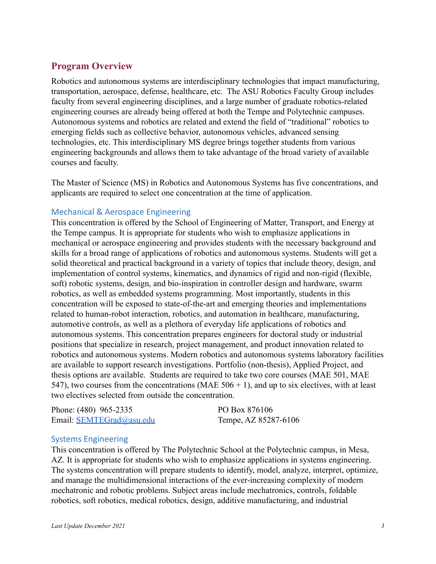# <span id="page-2-0"></span>**Program Overview**

Robotics and autonomous systems are interdisciplinary technologies that impact manufacturing, transportation, aerospace, defense, healthcare, etc. The ASU Robotics Faculty Group includes faculty from several engineering disciplines, and a large number of graduate robotics-related engineering courses are already being offered at both the Tempe and Polytechnic campuses. Autonomous systems and robotics are related and extend the field of "traditional" robotics to emerging fields such as collective behavior, autonomous vehicles, advanced sensing technologies, etc. This interdisciplinary MS degree brings together students from various engineering backgrounds and allows them to take advantage of the broad variety of available courses and faculty.

The Master of Science (MS) in Robotics and Autonomous Systems has five concentrations, and applicants are required to select one concentration at the time of application.

#### <span id="page-2-1"></span>Mechanical & Aerospace Engineering

This concentration is offered by the School of Engineering of Matter, Transport, and Energy at the Tempe campus. It is appropriate for students who wish to emphasize applications in mechanical or aerospace engineering and provides students with the necessary background and skills for a broad range of applications of robotics and autonomous systems. Students will get a solid theoretical and practical background in a variety of topics that include theory, design, and implementation of control systems, kinematics, and dynamics of rigid and non-rigid (flexible, soft) robotic systems, design, and bio-inspiration in controller design and hardware, swarm robotics, as well as embedded systems programming. Most importantly, students in this concentration will be exposed to state-of-the-art and emerging theories and implementations related to human-robot interaction, robotics, and automation in healthcare, manufacturing, automotive controls, as well as a plethora of everyday life applications of robotics and autonomous systems. This concentration prepares engineers for doctoral study or industrial positions that specialize in research, project management, and product innovation related to robotics and autonomous systems. Modern robotics and autonomous systems laboratory facilities are available to support research investigations. Portfolio (non-thesis), Applied Project, and thesis options are available. Students are required to take two core courses (MAE 501, MAE 547), two courses from the concentrations (MAE  $506 + 1$ ), and up to six electives, with at least two electives selected from outside the concentration.

| Phone: (480) 965-2335    | PO Box 876106        |
|--------------------------|----------------------|
| Email: SEMTEGrad@asu.edu | Tempe, AZ 85287-6106 |

#### <span id="page-2-2"></span>Systems Engineering

This concentration is offered by The Polytechnic School at the Polytechnic campus, in Mesa, AZ. It is appropriate for students who wish to emphasize applications in systems engineering. The systems concentration will prepare students to identify, model, analyze, interpret, optimize, and manage the multidimensional interactions of the ever-increasing complexity of modern mechatronic and robotic problems. Subject areas include mechatronics, controls, foldable robotics, soft robotics, medical robotics, design, additive manufacturing, and industrial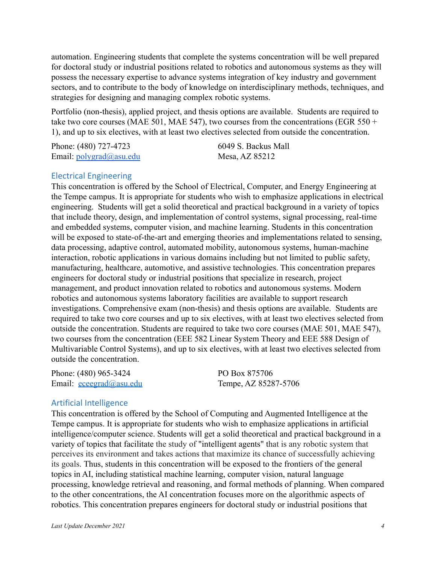automation. Engineering students that complete the systems concentration will be well prepared for doctoral study or industrial positions related to robotics and autonomous systems as they will possess the necessary expertise to advance systems integration of key industry and government sectors, and to contribute to the body of knowledge on interdisciplinary methods, techniques, and strategies for designing and managing complex robotic systems.

Portfolio (non-thesis), applied project, and thesis options are available. Students are required to take two core courses (MAE 501, MAE 547), two courses from the concentrations (EGR 550 + 1), and up to six electives, with at least two electives selected from outside the concentration.

| Phone: (480) 727-4723               | 6049 S. Backus Mall |
|-------------------------------------|---------------------|
| Email: $\text{polygrad}(a)$ asu.edu | Mesa, AZ 85212      |

#### <span id="page-3-0"></span>Electrical Engineering

This concentration is offered by the School of Electrical, Computer, and Energy Engineering at the Tempe campus. It is appropriate for students who wish to emphasize applications in electrical engineering. Students will get a solid theoretical and practical background in a variety of topics that include theory, design, and implementation of control systems, signal processing, real-time and embedded systems, computer vision, and machine learning. Students in this concentration will be exposed to state-of-the-art and emerging theories and implementations related to sensing, data processing, adaptive control, automated mobility, autonomous systems, human-machine interaction, robotic applications in various domains including but not limited to public safety, manufacturing, healthcare, automotive, and assistive technologies. This concentration prepares engineers for doctoral study or industrial positions that specialize in research, project management, and product innovation related to robotics and autonomous systems. Modern robotics and autonomous systems laboratory facilities are available to support research investigations. Comprehensive exam (non-thesis) and thesis options are available. Students are required to take two core courses and up to six electives, with at least two electives selected from outside the concentration. Students are required to take two core courses (MAE 501, MAE 547), two courses from the concentration (EEE 582 Linear System Theory and EEE 588 Design of Multivariable Control Systems), and up to six electives, with at least two electives selected from outside the concentration.

Phone: (480) 965-3424 Email: [eceegrad@asu.edu](mailto:eceegrad@asu.edu) PO Box 875706 Tempe, AZ 85287-5706

#### <span id="page-3-1"></span>Artificial Intelligence

This concentration is offered by the School of Computing and Augmented Intelligence at the Tempe campus. It is appropriate for students who wish to emphasize applications in artificial intelligence/computer science. Students will get a solid theoretical and practical background in a variety of topics that facilitate the study of "[intelligent](https://en.wikipedia.org/wiki/Intelligent_agent) agents" that is any robotic system that perceives its environment and takes actions that maximize its chance of successfully achieving its goals. Thus, students in this concentration will be exposed to the frontiers of the general topics in AI, including statistical machine learning, computer vision, natural language processing, knowledge retrieval and reasoning, and formal methods of planning. When compared to the other concentrations, the AI concentration focuses more on the algorithmic aspects of robotics. This concentration prepares engineers for doctoral study or industrial positions that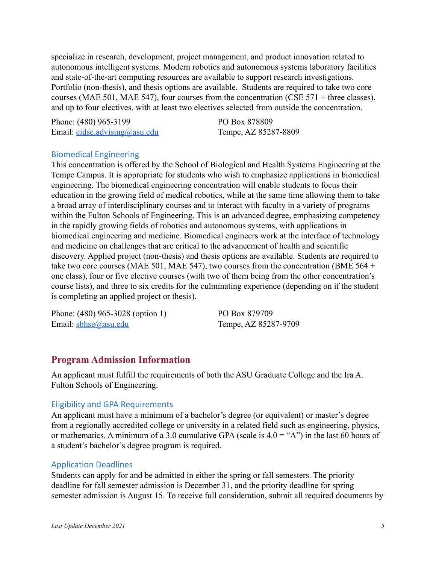specialize in research, development, project management, and product innovation related to autonomous intelligent systems. Modern robotics and autonomous systems laboratory facilities and state-of-the-art computing resources are available to support research investigations. Portfolio (non-thesis), and thesis options are available. Students are required to take two core courses (MAE 501, MAE 547), four courses from the concentration (CSE 571 + three classes), and up to four electives, with at least two electives selected from outside the concentration.

Phone: (480) 965-3199 Email: [cidse.advising@asu.edu](mailto:cidse.advising@asu.edu) PO Box 878809 Tempe, AZ 85287-8809

#### <span id="page-4-0"></span>Biomedical Engineering

This concentration is offered by the School of Biological and Health Systems Engineering at the Tempe Campus. It is appropriate for students who wish to emphasize applications in biomedical engineering. The biomedical engineering concentration will enable students to focus their education in the growing field of medical robotics, while at the same time allowing them to take a broad array of interdisciplinary courses and to interact with faculty in a variety of programs within the Fulton Schools of Engineering. This is an advanced degree, emphasizing competency in the rapidly growing fields of robotics and autonomous systems, with applications in biomedical engineering and medicine. Biomedical engineers work at the interface of technology and medicine on challenges that are critical to the advancement of health and scientific discovery. Applied project (non-thesis) and thesis options are available. Students are required to take two core courses (MAE 501, MAE 547), two courses from the concentration (BME 564 + one class), four or five elective courses (with two of them being from the other concentration's course lists), and three to six credits for the culminating experience (depending on if the student is completing an applied project or thesis).

Phone: (480) 965-3028 (option 1) Email: [sbhse@asu.edu](mailto:sbhse@asu.edu)

PO Box 879709 Tempe, AZ 85287-9709

### <span id="page-4-1"></span>**Program Admission Information**

An applicant must fulfill the requirements of both the ASU Graduate College and the Ira A. Fulton Schools of Engineering.

#### <span id="page-4-2"></span>Eligibility and GPA Requirements

An applicant must have a minimum of a bachelor's degree (or equivalent) or master's degree from a regionally accredited college or university in a related field such as engineering, physics, or mathematics. A minimum of a 3.0 cumulative GPA (scale is  $4.0 = "A"$ ) in the last 60 hours of a student's bachelor's degree program is required.

#### <span id="page-4-3"></span>Application Deadlines

Students can apply for and be admitted in either the spring or fall semesters. The priority deadline for fall semester admission is December 31, and the priority deadline for spring semester admission is August 15. To receive full consideration, submit all required documents by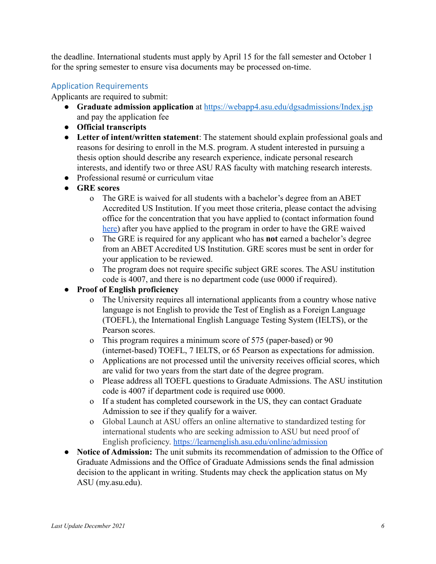the deadline. International students must apply by April 15 for the fall semester and October 1 for the spring semester to ensure visa documents may be processed on-time.

### <span id="page-5-0"></span>Application Requirements

Applicants are required to submit:

- **Graduate admission application** at <https://webapp4.asu.edu/dgsadmissions/Index.jsp> and pay the application fee
- **● Official transcripts**
- **Letter of intent/written statement**: The statement should explain professional goals and reasons for desiring to enroll in the M.S. program. A student interested in pursuing a thesis option should describe any research experience, indicate personal research interests, and identify two or three ASU RAS faculty with matching research interests.
- Professional resumé or curriculum vitae
- **GRE scores**
	- o The GRE is waived for all students with a bachelor's degree from an ABET Accredited US Institution. If you meet those criteria, please contact the advising office for the concentration that you have applied to (contact information found [here\)](https://ras.engineering.asu.edu/contact/) after you have applied to the program in order to have the GRE waived
	- o The GRE is required for any applicant who has **not** earned a bachelor's degree from an ABET Accredited US Institution. GRE scores must be sent in order for your application to be reviewed.
	- o The program does not require specific subject GRE scores. The ASU institution code is 4007, and there is no department code (use 0000 if required).
- **● Proof of English proficiency**
	- o The University requires all international applicants from a country whose native language is not English to provide the Test of English as a Foreign Language (TOEFL), the International English Language Testing System (IELTS), or the Pearson scores.
	- o This program requires a minimum score of 575 (paper-based) or 90 (internet-based) TOEFL, 7 IELTS, or 65 Pearson as expectations for admission.
	- o Applications are not processed until the university receives official scores, which are valid for two years from the start date of the degree program.
	- o Please address all TOEFL questions to Graduate Admissions. The ASU institution code is 4007 if department code is required use 0000.
	- o If a student has completed coursework in the US, they can contact Graduate Admission to see if they qualify for a waiver.
	- o Global Launch at ASU offers an online alternative to standardized testing for international students who are seeking admission to ASU but need proof of English proficiency. <https://learnenglish.asu.edu/online/admission>
- **Notice of Admission:** The unit submits its recommendation of admission to the Office of Graduate Admissions and the Office of Graduate Admissions sends the final admission decision to the applicant in writing. Students may check the application status on My ASU (my.asu.edu).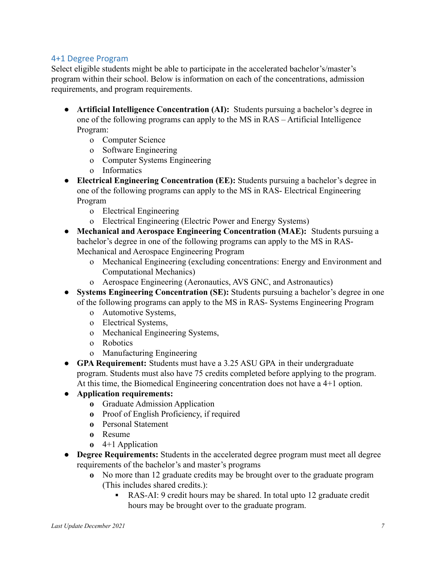### <span id="page-6-0"></span>4+1 Degree Program

Select eligible students might be able to participate in the accelerated bachelor's/master's program within their school. Below is information on each of the concentrations, admission requirements, and program requirements.

- **● Artificial Intelligence Concentration (AI):** Students pursuing a bachelor's degree in one of the following programs can apply to the MS in RAS – Artificial Intelligence Program:
	- o Computer Science
	- o Software Engineering
	- o Computer Systems Engineering
	- o Informatics
- **● Electrical Engineering Concentration (EE):** Students pursuing a bachelor's degree in one of the following programs can apply to the MS in RAS- Electrical Engineering Program
	- o Electrical Engineering
	- o Electrical Engineering (Electric Power and Energy Systems)
- **Mechanical and Aerospace Engineering Concentration (MAE):** Students pursuing a bachelor's degree in one of the following programs can apply to the MS in RAS-Mechanical and Aerospace Engineering Program
	- o Mechanical Engineering (excluding concentrations: Energy and Environment and Computational Mechanics)
	- o Aerospace Engineering (Aeronautics, AVS GNC, and Astronautics)
- **● Systems Engineering Concentration (SE):** Students pursuing a bachelor's degree in one of the following programs can apply to the MS in RAS- Systems Engineering Program
	- o Automotive Systems,
	- o Electrical Systems,
	- o Mechanical Engineering Systems,
	- o Robotics
	- o Manufacturing Engineering
- **● GPA Requirement:** Students must have a 3.25 ASU GPA in their undergraduate program. Students must also have 75 credits completed before applying to the program. At this time, the Biomedical Engineering concentration does not have a 4+1 option.
- **● Application requirements:**
	- **o** Graduate Admission Application
	- **o** Proof of English Proficiency, if required
	- **o** Personal Statement
	- **o** Resume
	- **o** 4+1 Application
- **● Degree Requirements:** Students in the accelerated degree program must meet all degree requirements of the bachelor's and master's programs
	- **o** No more than 12 graduate credits may be brought over to the graduate program (This includes shared credits.):
		- **▪** RAS-AI: 9 credit hours may be shared. In total upto 12 graduate credit hours may be brought over to the graduate program.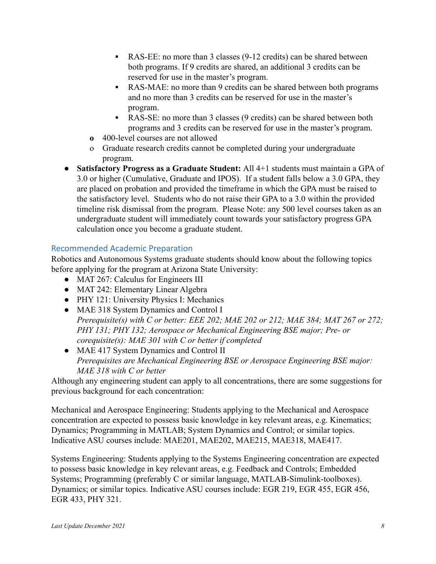- **▪** RAS-EE: no more than 3 classes (9-12 credits) can be shared between both programs. If 9 credits are shared, an additional 3 credits can be reserved for use in the master's program.
- **▪** RAS-MAE: no more than 9 credits can be shared between both programs and no more than 3 credits can be reserved for use in the master's program.
- **▪** RAS-SE: no more than 3 classes (9 credits) can be shared between both programs and 3 credits can be reserved for use in the master's program.
- **o** 400-level courses are not allowed
- o Graduate research credits cannot be completed during your undergraduate program.
- **Satisfactory Progress as a Graduate Student:** All 4+1 students must maintain a GPA of 3.0 or higher (Cumulative, Graduate and IPOS). If a student falls below a 3.0 GPA, they are placed on probation and provided the timeframe in which the GPA must be raised to the satisfactory level. Students who do not raise their GPA to a 3.0 within the provided timeline risk dismissal from the program. Please Note: any 500 level courses taken as an undergraduate student will immediately count towards your satisfactory progress GPA calculation once you become a graduate student.

### <span id="page-7-0"></span>Recommended Academic Preparation

Robotics and Autonomous Systems graduate students should know about the following topics before applying for the program at Arizona State University:

- MAT 267: Calculus for Engineers III
- MAT 242: Elementary Linear Algebra
- PHY 121: University Physics I: Mechanics
- MAE 318 System Dynamics and Control I *Prerequisite(s) with C or better: EEE 202; MAE 202 or 212; MAE 384; MAT 267 or 272; PHY 131; PHY 132; Aerospace or Mechanical Engineering BSE major; Pre- or corequisite(s): MAE 301 with C or better if completed*
- MAE 417 System Dynamics and Control II *Prerequisites are Mechanical Engineering BSE or Aerospace Engineering BSE major: MAE 318 with C or better*

Although any engineering student can apply to all concentrations, there are some suggestions for previous background for each concentration:

Mechanical and Aerospace Engineering: Students applying to the Mechanical and Aerospace concentration are expected to possess basic knowledge in key relevant areas, e.g. Kinematics; Dynamics; Programming in MATLAB; System Dynamics and Control; or similar topics. Indicative ASU courses include: MAE201, MAE202, MAE215, MAE318, MAE417.

Systems Engineering: Students applying to the Systems Engineering concentration are expected to possess basic knowledge in key relevant areas, e.g. Feedback and Controls; Embedded Systems; Programming (preferably C or similar language, MATLAB-Simulink-toolboxes). Dynamics; or similar topics. Indicative ASU courses include: EGR 219, EGR 455, EGR 456, EGR 433, PHY 321.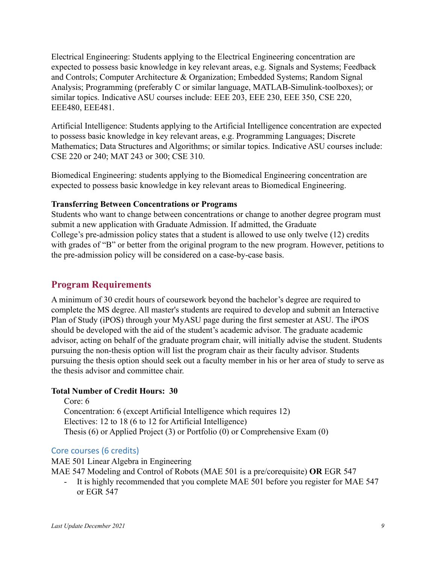Electrical Engineering: Students applying to the Electrical Engineering concentration are expected to possess basic knowledge in key relevant areas, e.g. Signals and Systems; Feedback and Controls; Computer Architecture & Organization; Embedded Systems; Random Signal Analysis; Programming (preferably C or similar language, MATLAB-Simulink-toolboxes); or similar topics. Indicative ASU courses include: EEE 203, EEE 230, EEE 350, CSE 220, EEE480, EEE481.

Artificial Intelligence: Students applying to the Artificial Intelligence concentration are expected to possess basic knowledge in key relevant areas, e.g. Programming Languages; Discrete Mathematics; Data Structures and Algorithms; or similar topics. Indicative ASU courses include: CSE 220 or 240; MAT 243 or 300; CSE 310.

Biomedical Engineering: students applying to the Biomedical Engineering concentration are expected to possess basic knowledge in key relevant areas to Biomedical Engineering.

#### **Transferring Between Concentrations or Programs**

Students who want to change between concentrations or change to another degree program must submit a new application with Graduate Admission. If admitted, the Graduate College's pre-admission policy states that a student is allowed to use only twelve (12) credits with grades of "B" or better from the original program to the new program. However, petitions to the pre-admission policy will be considered on a case-by-case basis.

### <span id="page-8-0"></span>**Program Requirements**

A minimum of 30 credit hours of coursework beyond the bachelor's degree are required to complete the MS degree. All master's students are required to develop and submit an Interactive Plan of Study (iPOS) through your MyASU page during the first semester at ASU. The iPOS should be developed with the aid of the student's academic advisor. The graduate academic advisor, acting on behalf of the graduate program chair, will initially advise the student. Students pursuing the non-thesis option will list the program chair as their faculty advisor. Students pursuing the thesis option should seek out a faculty member in his or her area of study to serve as the thesis advisor and committee chair.

### **Total Number of Credit Hours: 30**

Core: 6 Concentration: 6 (except Artificial Intelligence which requires 12) Electives: 12 to 18 (6 to 12 for Artificial Intelligence) Thesis (6) or Applied Project (3) or Portfolio (0) or Comprehensive Exam (0)

### <span id="page-8-1"></span>Core courses (6 credits)

MAE 501 Linear Algebra in Engineering MAE 547 Modeling and Control of Robots (MAE 501 is a pre/corequisite) **OR** EGR 547

It is highly recommended that you complete MAE 501 before you register for MAE 547 or EGR 547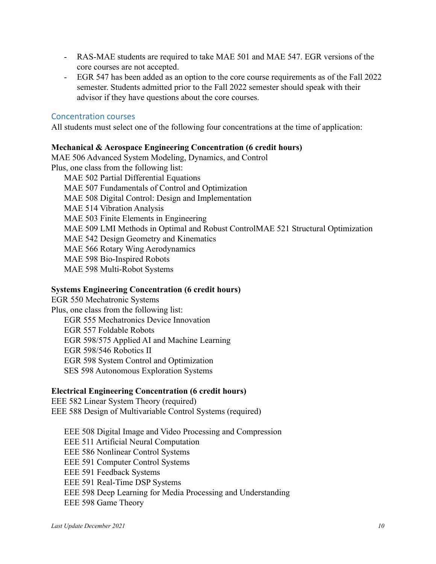- RAS-MAE students are required to take MAE 501 and MAE 547. EGR versions of the core courses are not accepted.
- EGR 547 has been added as an option to the core course requirements as of the Fall 2022 semester. Students admitted prior to the Fall 2022 semester should speak with their advisor if they have questions about the core courses.

#### <span id="page-9-0"></span>Concentration courses

All students must select one of the following four concentrations at the time of application:

#### **Mechanical & Aerospace Engineering Concentration (6 credit hours)**

MAE 506 Advanced System Modeling, Dynamics, and Control Plus, one class from the following list: MAE 502 Partial Differential Equations MAE 507 Fundamentals of Control and Optimization MAE 508 Digital Control: Design and Implementation MAE 514 Vibration Analysis MAE 503 Finite Elements in Engineering MAE 509 LMI Methods in Optimal and Robust ControlMAE 521 Structural Optimization MAE 542 Design Geometry and Kinematics MAE 566 Rotary Wing Aerodynamics MAE 598 Bio-Inspired Robots MAE 598 Multi-Robot Systems

#### **Systems Engineering Concentration (6 credit hours)**

EGR 550 Mechatronic Systems Plus, one class from the following list: EGR 555 Mechatronics Device Innovation EGR 557 Foldable Robots EGR 598/575 Applied AI and Machine Learning EGR 598/546 Robotics II EGR 598 System Control and Optimization SES 598 Autonomous Exploration Systems

#### **Electrical Engineering Concentration (6 credit hours)**

EEE 582 Linear System Theory (required) EEE 588 Design of Multivariable Control Systems (required)

EEE 508 Digital Image and Video Processing and Compression EEE 511 Artificial Neural Computation EEE 586 Nonlinear Control Systems EEE 591 Computer Control Systems EEE 591 Feedback Systems EEE 591 Real-Time DSP Systems EEE 598 Deep Learning for Media Processing and Understanding EEE 598 Game Theory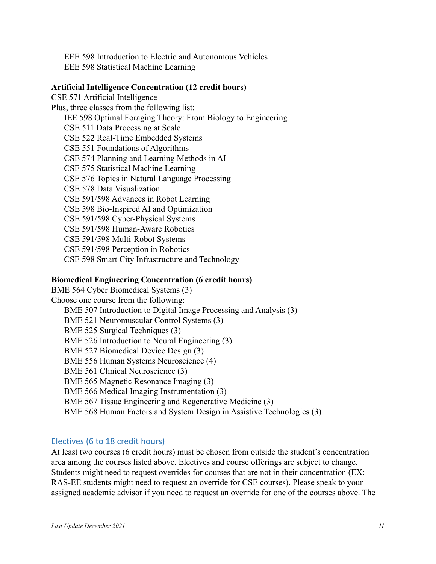EEE 598 Introduction to Electric and Autonomous Vehicles EEE 598 Statistical Machine Learning

#### **Artificial Intelligence Concentration (12 credit hours)**

CSE 571 Artificial Intelligence Plus, three classes from the following list: IEE 598 Optimal Foraging Theory: From Biology to Engineering CSE 511 Data Processing at Scale CSE 522 Real-Time Embedded Systems CSE 551 Foundations of Algorithms CSE 574 Planning and Learning Methods in AI CSE 575 Statistical Machine Learning CSE 576 Topics in Natural Language Processing CSE 578 Data Visualization CSE 591/598 Advances in Robot Learning CSE 598 Bio-Inspired AI and Optimization CSE 591/598 Cyber-Physical Systems CSE 591/598 Human-Aware Robotics CSE 591/598 Multi-Robot Systems CSE 591/598 Perception in Robotics CSE 598 Smart City Infrastructure and Technology

#### **Biomedical Engineering Concentration (6 credit hours)**

BME 564 Cyber Biomedical Systems (3) Choose one course from the following: BME 507 Introduction to Digital Image Processing and Analysis (3) BME 521 Neuromuscular Control Systems (3) BME 525 Surgical Techniques (3) BME 526 Introduction to Neural Engineering (3) BME 527 Biomedical Device Design (3) BME 556 Human Systems Neuroscience (4) BME 561 Clinical Neuroscience (3) BME 565 Magnetic Resonance Imaging (3) BME 566 Medical Imaging Instrumentation (3) BME 567 Tissue Engineering and Regenerative Medicine (3) BME 568 Human Factors and System Design in Assistive Technologies (3)

### <span id="page-10-0"></span>Electives (6 to 18 credit hours)

At least two courses (6 credit hours) must be chosen from outside the student's concentration area among the courses listed above. Electives and course offerings are subject to change. Students might need to request overrides for courses that are not in their concentration (EX: RAS-EE students might need to request an override for CSE courses). Please speak to your assigned academic advisor if you need to request an override for one of the courses above. The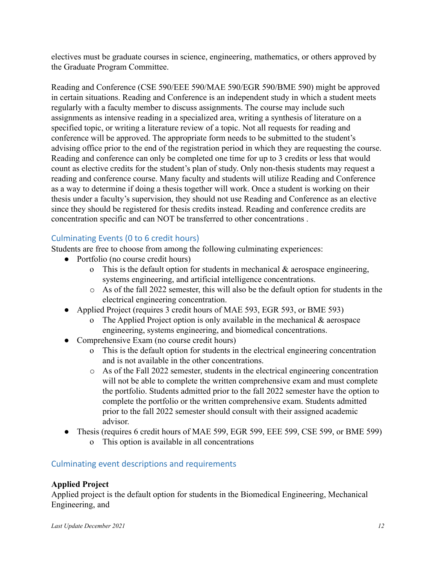electives must be graduate courses in science, engineering, mathematics, or others approved by the Graduate Program Committee.

Reading and Conference (CSE 590/EEE 590/MAE 590/EGR 590/BME 590) might be approved in certain situations. Reading and Conference is an independent study in which a student meets regularly with a faculty member to discuss assignments. The course may include such assignments as intensive reading in a specialized area, writing a synthesis of literature on a specified topic, or writing a literature review of a topic. Not all requests for reading and conference will be approved. The appropriate form needs to be submitted to the student's advising office prior to the end of the registration period in which they are requesting the course. Reading and conference can only be completed one time for up to 3 credits or less that would count as elective credits for the student's plan of study. Only non-thesis students may request a reading and conference course. Many faculty and students will utilize Reading and Conference as a way to determine if doing a thesis together will work. Once a student is working on their thesis under a faculty's supervision, they should not use Reading and Conference as an elective since they should be registered for thesis credits instead. Reading and conference credits are concentration specific and can NOT be transferred to other concentrations .

### <span id="page-11-0"></span>Culminating Events (0 to 6 credit hours)

Students are free to choose from among the following culminating experiences:

- Portfolio (no course credit hours)
	- o This is the default option for students in mechanical  $\&$  aerospace engineering, systems engineering, and artificial intelligence concentrations.
	- o As of the fall 2022 semester, this will also be the default option for students in the electrical engineering concentration.
- Applied Project (requires 3 credit hours of MAE 593, EGR 593, or BME 593)
	- o The Applied Project option is only available in the mechanical  $\&$  aerospace engineering, systems engineering, and biomedical concentrations.
- Comprehensive Exam (no course credit hours)
	- o This is the default option for students in the electrical engineering concentration and is not available in the other concentrations.
	- o As of the Fall 2022 semester, students in the electrical engineering concentration will not be able to complete the written comprehensive exam and must complete the portfolio. Students admitted prior to the fall 2022 semester have the option to complete the portfolio or the written comprehensive exam. Students admitted prior to the fall 2022 semester should consult with their assigned academic advisor.
- Thesis (requires 6 credit hours of MAE 599, EGR 599, EEE 599, CSE 599, or BME 599)
	- o This option is available in all concentrations

### <span id="page-11-1"></span>Culminating event descriptions and requirements

### **Applied Project**

Applied project is the default option for students in the Biomedical Engineering, Mechanical Engineering, and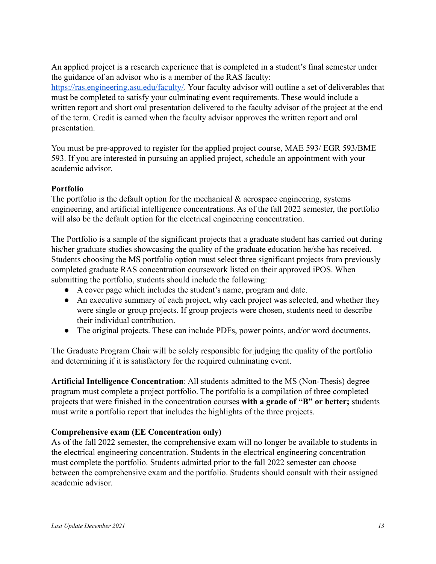An applied project is a research experience that is completed in a student's final semester under the guidance of an advisor who is a member of the RAS faculty: <https://ras.engineering.asu.edu/faculty/>. Your faculty advisor will outline a set of deliverables that must be completed to satisfy your culminating event requirements. These would include a written report and short oral presentation delivered to the faculty advisor of the project at the end of the term. Credit is earned when the faculty advisor approves the written report and oral presentation.

You must be pre-approved to register for the applied project course, MAE 593/ EGR 593/BME 593. If you are interested in pursuing an applied project, schedule an appointment with your academic advisor.

### **Portfolio**

The portfolio is the default option for the mechanical  $\&$  aerospace engineering, systems engineering, and artificial intelligence concentrations. As of the fall 2022 semester, the portfolio will also be the default option for the electrical engineering concentration.

The Portfolio is a sample of the significant projects that a graduate student has carried out during his/her graduate studies showcasing the quality of the graduate education he/she has received. Students choosing the MS portfolio option must select three significant projects from previously completed graduate RAS concentration coursework listed on their approved iPOS. When submitting the portfolio, students should include the following:

- A cover page which includes the student's name, program and date.
- An executive summary of each project, why each project was selected, and whether they were single or group projects. If group projects were chosen, students need to describe their individual contribution.
- The original projects. These can include PDFs, power points, and/or word documents.

The Graduate Program Chair will be solely responsible for judging the quality of the portfolio and determining if it is satisfactory for the required culminating event.

**Artificial Intelligence Concentration**: All students admitted to the MS (Non-Thesis) degree program must complete a project portfolio. The portfolio is a compilation of three completed projects that were finished in the concentration courses **with a grade of "B" or better;** students must write a portfolio report that includes the highlights of the three projects.

#### **Comprehensive exam (EE Concentration only)**

As of the fall 2022 semester, the comprehensive exam will no longer be available to students in the electrical engineering concentration. Students in the electrical engineering concentration must complete the portfolio. Students admitted prior to the fall 2022 semester can choose between the comprehensive exam and the portfolio. Students should consult with their assigned academic advisor.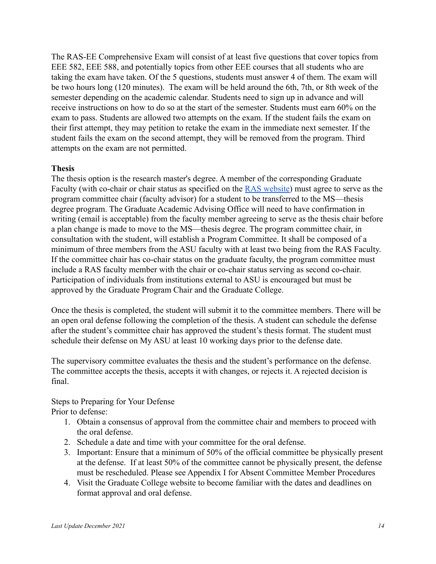The RAS-EE Comprehensive Exam will consist of at least five questions that cover topics from EEE 582, EEE 588, and potentially topics from other EEE courses that all students who are taking the exam have taken. Of the 5 questions, students must answer 4 of them. The exam will be two hours long (120 minutes). The exam will be held around the 6th, 7th, or 8th week of the semester depending on the academic calendar. Students need to sign up in advance and will receive instructions on how to do so at the start of the semester. Students must earn 60% on the exam to pass. Students are allowed two attempts on the exam. If the student fails the exam on their first attempt, they may petition to retake the exam in the immediate next semester. If the student fails the exam on the second attempt, they will be removed from the program. Third attempts on the exam are not permitted.

#### **Thesis**

The thesis option is the research master's degree. A member of the corresponding Graduate Faculty (with co-chair or chair status as specified on the [RAS website\)](https://ras.engineering.asu.edu/faculty/) must agree to serve as the program committee chair (faculty advisor) for a student to be transferred to the MS—thesis degree program. The Graduate Academic Advising Office will need to have confirmation in writing (email is acceptable) from the faculty member agreeing to serve as the thesis chair before a plan change is made to move to the MS—thesis degree. The program committee chair, in consultation with the student, will establish a Program Committee. It shall be composed of a minimum of three members from the ASU faculty with at least two being from the RAS Faculty. If the committee chair has co-chair status on the graduate faculty, the program committee must include a RAS faculty member with the chair or co-chair status serving as second co-chair. Participation of individuals from institutions external to ASU is encouraged but must be approved by the Graduate Program Chair and the Graduate College.

Once the thesis is completed, the student will submit it to the committee members. There will be an open oral defense following the completion of the thesis. A student can schedule the defense after the student's committee chair has approved the student's thesis format. The student must schedule their defense on My ASU at least 10 working days prior to the defense date.

The supervisory committee evaluates the thesis and the student's performance on the defense. The committee accepts the thesis, accepts it with changes, or rejects it. A rejected decision is final.

Steps to Preparing for Your Defense Prior to defense:

- 1. Obtain a consensus of approval from the committee chair and members to proceed with the oral defense.
- 2. Schedule a date and time with your committee for the oral defense.
- 3. Important: Ensure that a minimum of 50% of the official committee be physically present at the defense. If at least 50% of the committee cannot be physically present, the defense must be rescheduled. Please see Appendix I for Absent Committee Member Procedures
- 4. Visit the Graduate College website to become familiar with the dates and deadlines on format approval and oral defense.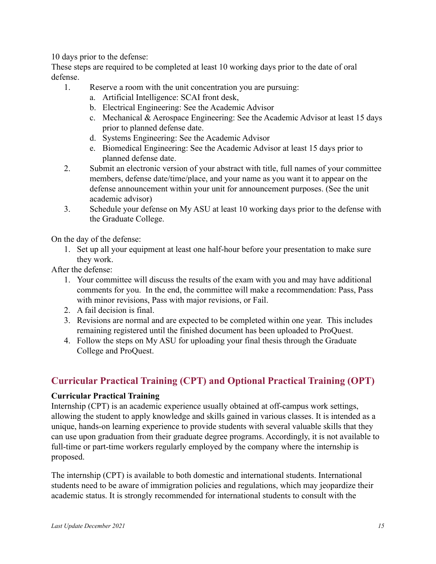10 days prior to the defense:

These steps are required to be completed at least 10 working days prior to the date of oral defense.

- 1. Reserve a room with the unit concentration you are pursuing:
	- a. Artificial Intelligence: SCAI front desk,
	- b. Electrical Engineering: See the Academic Advisor
	- c. Mechanical & Aerospace Engineering: See the Academic Advisor at least 15 days prior to planned defense date.
	- d. Systems Engineering: See the Academic Advisor
	- e. Biomedical Engineering: See the Academic Advisor at least 15 days prior to planned defense date.
- 2. Submit an electronic version of your abstract with title, full names of your committee members, defense date/time/place, and your name as you want it to appear on the defense announcement within your unit for announcement purposes. (See the unit academic advisor)
- 3. Schedule your defense on My ASU at least 10 working days prior to the defense with the Graduate College.

On the day of the defense:

1. Set up all your equipment at least one half-hour before your presentation to make sure they work.

After the defense:

- 1. Your committee will discuss the results of the exam with you and may have additional comments for you. In the end, the committee will make a recommendation: Pass, Pass with minor revisions, Pass with major revisions, or Fail.
- 2. A fail decision is final.
- 3. Revisions are normal and are expected to be completed within one year. This includes remaining registered until the finished document has been uploaded to ProQuest.
- 4. Follow the steps on My ASU for uploading your final thesis through the Graduate College and ProQuest.

# <span id="page-14-0"></span>**Curricular Practical Training (CPT) and Optional Practical Training (OPT)**

### **Curricular Practical Training**

Internship (CPT) is an academic experience usually obtained at off-campus work settings, allowing the student to apply knowledge and skills gained in various classes. It is intended as a unique, hands-on learning experience to provide students with several valuable skills that they can use upon graduation from their graduate degree programs. Accordingly, it is not available to full-time or part-time workers regularly employed by the company where the internship is proposed.

The internship (CPT) is available to both domestic and international students. International students need to be aware of immigration policies and regulations, which may jeopardize their academic status. It is strongly recommended for international students to consult with the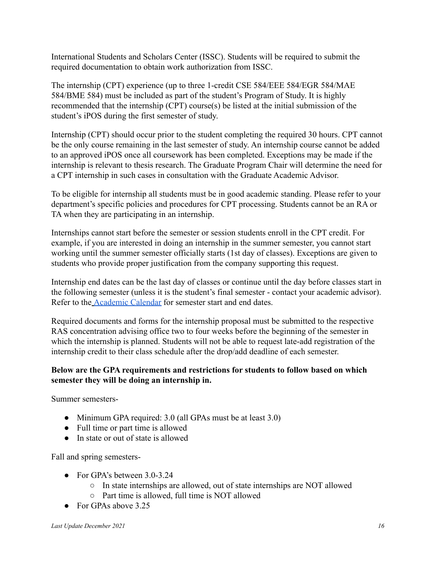International Students and Scholars Center (ISSC). Students will be required to submit the required documentation to obtain work authorization from ISSC.

The internship (CPT) experience (up to three 1-credit CSE 584/EEE 584/EGR 584/MAE 584/BME 584) must be included as part of the student's Program of Study. It is highly recommended that the internship (CPT) course(s) be listed at the initial submission of the student's iPOS during the first semester of study.

Internship (CPT) should occur prior to the student completing the required 30 hours. CPT cannot be the only course remaining in the last semester of study. An internship course cannot be added to an approved iPOS once all coursework has been completed. Exceptions may be made if the internship is relevant to thesis research. The Graduate Program Chair will determine the need for a CPT internship in such cases in consultation with the Graduate Academic Advisor.

To be eligible for internship all students must be in good academic standing. Please refer to your department's specific policies and procedures for CPT processing. Students cannot be an RA or TA when they are participating in an internship.

Internships cannot start before the semester or session students enroll in the CPT credit. For example, if you are interested in doing an internship in the summer semester, you cannot start working until the summer semester officially starts (1st day of classes). Exceptions are given to students who provide proper justification from the company supporting this request.

Internship end dates can be the last day of classes or continue until the day before classes start in the following semester (unless it is the student's final semester - contact your academic advisor). Refer to the [Academic Calendar](https://students.asu.edu/academic-calendar) for semester start and end dates.

Required documents and forms for the internship proposal must be submitted to the respective RAS concentration advising office two to four weeks before the beginning of the semester in which the internship is planned. Students will not be able to request late-add registration of the internship credit to their class schedule after the drop/add deadline of each semester.

### **Below are the GPA requirements and restrictions for students to follow based on which semester they will be doing an internship in.**

Summer semesters-

- Minimum GPA required: 3.0 (all GPAs must be at least 3.0)
- Full time or part time is allowed
- In state or out of state is allowed

Fall and spring semesters-

- For GPA's between  $3.0 3.24$ 
	- In state internships are allowed, out of state internships are NOT allowed
	- Part time is allowed, full time is NOT allowed
- For GPAs above 3.25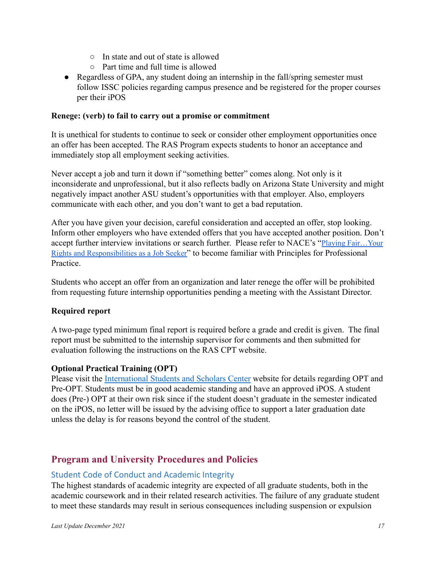- In state and out of state is allowed
- Part time and full time is allowed
- Regardless of GPA, any student doing an internship in the fall/spring semester must follow ISSC policies regarding campus presence and be registered for the proper courses per their iPOS

#### **Renege: (verb) to fail to carry out a promise or commitment**

It is unethical for students to continue to seek or consider other employment opportunities once an offer has been accepted. The RAS Program expects students to honor an acceptance and immediately stop all employment seeking activities.

Never accept a job and turn it down if "something better" comes along. Not only is it inconsiderate and unprofessional, but it also reflects badly on Arizona State University and might negatively impact another ASU student's opportunities with that employer. Also, employers communicate with each other, and you don't want to get a bad reputation.

After you have given your decision, careful consideration and accepted an offer, stop looking. Inform other employers who have extended offers that you have accepted another position. Don't accept further interview invitations or search further. Please refer to NACE's "Playing [Fair…Your](https://drive.google.com/a/asu.edu/file/d/12Qog76n05YvytsaHGaTdM6IV7gxudnPC/view?usp=sharing) Rights and [Responsibilities](https://drive.google.com/a/asu.edu/file/d/12Qog76n05YvytsaHGaTdM6IV7gxudnPC/view?usp=sharing) as a Job Seeker" to become familiar with Principles for Professional Practice.

Students who accept an offer from an organization and later renege the offer will be prohibited from requesting future internship opportunities pending a meeting with the Assistant Director.

### **Required report**

A two-page typed minimum final report is required before a grade and credit is given. The final report must be submitted to the internship supervisor for comments and then submitted for evaluation following the instructions on the RAS CPT website.

### **Optional Practical Training (OPT)**

Please visit the [International Students and Scholars](https://students.asu.edu/international/support/opt) Center website for details regarding OPT and Pre-OPT. Students must be in good academic standing and have an approved iPOS. A student does (Pre-) OPT at their own risk since if the student doesn't graduate in the semester indicated on the iPOS, no letter will be issued by the advising office to support a later graduation date unless the delay is for reasons beyond the control of the student.

# <span id="page-16-0"></span>**Program and University Procedures and Policies**

### <span id="page-16-1"></span>Student Code of Conduct and Academic Integrity

The highest standards of academic integrity are expected of all graduate students, both in the academic coursework and in their related research activities. The failure of any graduate student to meet these standards may result in serious consequences including suspension or expulsion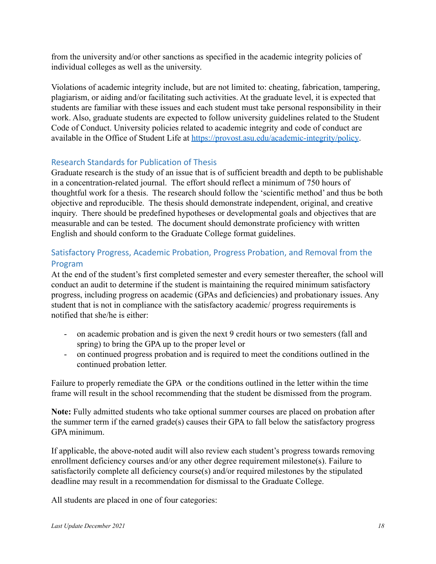from the university and/or other sanctions as specified in the academic integrity policies of individual colleges as well as the university.

Violations of academic integrity include, but are not limited to: cheating, fabrication, tampering, plagiarism, or aiding and/or facilitating such activities. At the graduate level, it is expected that students are familiar with these issues and each student must take personal responsibility in their work. Also, graduate students are expected to follow university guidelines related to the Student Code of Conduct. University policies related to academic integrity and code of conduct are available in the Office of Student Life at <https://provost.asu.edu/academic-integrity/policy>.

### <span id="page-17-0"></span>Research Standards for Publication of Thesis

Graduate research is the study of an issue that is of sufficient breadth and depth to be publishable in a concentration-related journal. The effort should reflect a minimum of 750 hours of thoughtful work for a thesis. The research should follow the 'scientific method' and thus be both objective and reproducible. The thesis should demonstrate independent, original, and creative inquiry. There should be predefined hypotheses or developmental goals and objectives that are measurable and can be tested. The document should demonstrate proficiency with written English and should conform to the Graduate College format guidelines.

### <span id="page-17-1"></span>Satisfactory Progress, Academic Probation, Progress Probation, and Removal from the Program

At the end of the student's first completed semester and every semester thereafter, the school will conduct an audit to determine if the student is maintaining the required minimum satisfactory progress, including progress on academic (GPAs and deficiencies) and probationary issues. Any student that is not in compliance with the satisfactory academic/ progress requirements is notified that she/he is either:

- on academic probation and is given the next 9 credit hours or two semesters (fall and spring) to bring the GPA up to the proper level or
- on continued progress probation and is required to meet the conditions outlined in the continued probation letter.

Failure to properly remediate the GPA or the conditions outlined in the letter within the time frame will result in the school recommending that the student be dismissed from the program.

**Note:** Fully admitted students who take optional summer courses are placed on probation after the summer term if the earned grade(s) causes their GPA to fall below the satisfactory progress GPA minimum.

If applicable, the above-noted audit will also review each student's progress towards removing enrollment deficiency courses and/or any other degree requirement milestone(s). Failure to satisfactorily complete all deficiency course(s) and/or required milestones by the stipulated deadline may result in a recommendation for dismissal to the Graduate College.

All students are placed in one of four categories: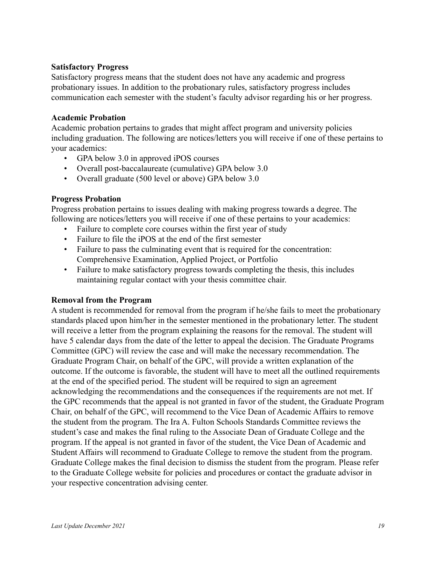#### **Satisfactory Progress**

Satisfactory progress means that the student does not have any academic and progress probationary issues. In addition to the probationary rules, satisfactory progress includes communication each semester with the student's faculty advisor regarding his or her progress.

#### **Academic Probation**

Academic probation pertains to grades that might affect program and university policies including graduation. The following are notices/letters you will receive if one of these pertains to your academics:

- GPA below 3.0 in approved iPOS courses
- Overall post-baccalaureate (cumulative) GPA below 3.0
- Overall graduate (500 level or above) GPA below 3.0

### **Progress Probation**

Progress probation pertains to issues dealing with making progress towards a degree. The following are notices/letters you will receive if one of these pertains to your academics:

- Failure to complete core courses within the first year of study
- Failure to file the iPOS at the end of the first semester
- Failure to pass the culminating event that is required for the concentration: Comprehensive Examination, Applied Project, or Portfolio
- Failure to make satisfactory progress towards completing the thesis, this includes maintaining regular contact with your thesis committee chair.

### **Removal from the Program**

A student is recommended for removal from the program if he/she fails to meet the probationary standards placed upon him/her in the semester mentioned in the probationary letter. The student will receive a letter from the program explaining the reasons for the removal. The student will have 5 calendar days from the date of the letter to appeal the decision. The Graduate Programs Committee (GPC) will review the case and will make the necessary recommendation. The Graduate Program Chair, on behalf of the GPC, will provide a written explanation of the outcome. If the outcome is favorable, the student will have to meet all the outlined requirements at the end of the specified period. The student will be required to sign an agreement acknowledging the recommendations and the consequences if the requirements are not met. If the GPC recommends that the appeal is not granted in favor of the student, the Graduate Program Chair, on behalf of the GPC, will recommend to the Vice Dean of Academic Affairs to remove the student from the program. The Ira A. Fulton Schools Standards Committee reviews the student's case and makes the final ruling to the Associate Dean of Graduate College and the program. If the appeal is not granted in favor of the student, the Vice Dean of Academic and Student Affairs will recommend to Graduate College to remove the student from the program. Graduate College makes the final decision to dismiss the student from the program. Please refer to the Graduate College website for policies and procedures or contact the graduate advisor in your respective concentration advising center.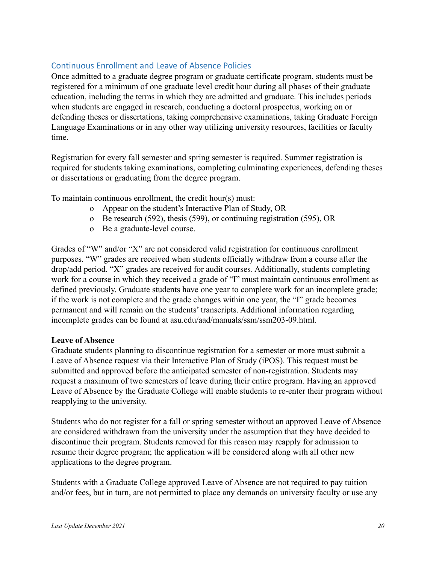### <span id="page-19-0"></span>Continuous Enrollment and Leave of Absence Policies

Once admitted to a graduate degree program or graduate certificate program, students must be registered for a minimum of one graduate level credit hour during all phases of their graduate education, including the terms in which they are admitted and graduate. This includes periods when students are engaged in research, conducting a doctoral prospectus, working on or defending theses or dissertations, taking comprehensive examinations, taking Graduate Foreign Language Examinations or in any other way utilizing university resources, facilities or faculty time.

Registration for every fall semester and spring semester is required. Summer registration is required for students taking examinations, completing culminating experiences, defending theses or dissertations or graduating from the degree program.

To maintain continuous enrollment, the credit hour(s) must:

- o Appear on the student's Interactive Plan of Study, OR
- o Be research (592), thesis (599), or continuing registration (595), OR
- o Be a graduate-level course.

Grades of "W" and/or "X" are not considered valid registration for continuous enrollment purposes. "W" grades are received when students officially withdraw from a course after the drop/add period. "X" grades are received for audit courses. Additionally, students completing work for a course in which they received a grade of "I" must maintain continuous enrollment as defined previously. Graduate students have one year to complete work for an incomplete grade; if the work is not complete and the grade changes within one year, the "I" grade becomes permanent and will remain on the students' transcripts. Additional information regarding incomplete grades can be found at asu.edu/aad/manuals/ssm/ssm203-09.html.

#### **Leave of Absence**

Graduate students planning to discontinue registration for a semester or more must submit a Leave of Absence request via their Interactive Plan of Study (iPOS). This request must be submitted and approved before the anticipated semester of non-registration. Students may request a maximum of two semesters of leave during their entire program. Having an approved Leave of Absence by the Graduate College will enable students to re-enter their program without reapplying to the university.

Students who do not register for a fall or spring semester without an approved Leave of Absence are considered withdrawn from the university under the assumption that they have decided to discontinue their program. Students removed for this reason may reapply for admission to resume their degree program; the application will be considered along with all other new applications to the degree program.

Students with a Graduate College approved Leave of Absence are not required to pay tuition and/or fees, but in turn, are not permitted to place any demands on university faculty or use any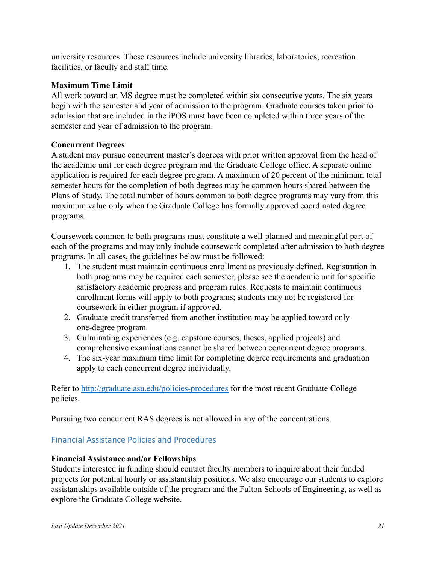university resources. These resources include university libraries, laboratories, recreation facilities, or faculty and staff time.

#### **Maximum Time Limit**

All work toward an MS degree must be completed within six consecutive years. The six years begin with the semester and year of admission to the program. Graduate courses taken prior to admission that are included in the iPOS must have been completed within three years of the semester and year of admission to the program.

#### **Concurrent Degrees**

A student may pursue concurrent master's degrees with prior written approval from the head of the academic unit for each degree program and the Graduate College office. A separate online application is required for each degree program. A maximum of 20 percent of the minimum total semester hours for the completion of both degrees may be common hours shared between the Plans of Study. The total number of hours common to both degree programs may vary from this maximum value only when the Graduate College has formally approved coordinated degree programs.

Coursework common to both programs must constitute a well-planned and meaningful part of each of the programs and may only include coursework completed after admission to both degree programs. In all cases, the guidelines below must be followed:

- 1. The student must maintain continuous enrollment as previously defined. Registration in both programs may be required each semester, please see the academic unit for specific satisfactory academic progress and program rules. Requests to maintain continuous enrollment forms will apply to both programs; students may not be registered for coursework in either program if approved.
- 2. Graduate credit transferred from another institution may be applied toward only one-degree program.
- 3. Culminating experiences (e.g. capstone courses, theses, applied projects) and comprehensive examinations cannot be shared between concurrent degree programs.
- 4. The six-year maximum time limit for completing degree requirements and graduation apply to each concurrent degree individually.

Refer to <http://graduate.asu.edu/policies-procedures> for the most recent Graduate College policies.

Pursuing two concurrent RAS degrees is not allowed in any of the concentrations.

### <span id="page-20-0"></span>Financial Assistance Policies and Procedures

### **Financial Assistance and/or Fellowships**

Students interested in funding should contact faculty members to inquire about their funded projects for potential hourly or assistantship positions. We also encourage our students to explore assistantships available outside of the program and the Fulton Schools of Engineering, as well as explore the Graduate College website.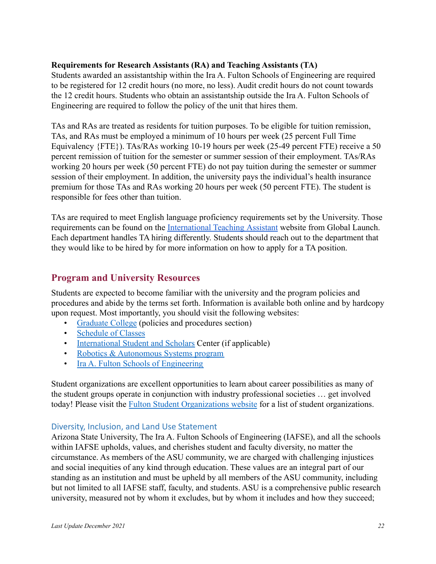#### **Requirements for Research Assistants (RA) and Teaching Assistants (TA)**

Students awarded an assistantship within the Ira A. Fulton Schools of Engineering are required to be registered for 12 credit hours (no more, no less). Audit credit hours do not count towards the 12 credit hours. Students who obtain an assistantship outside the Ira A. Fulton Schools of Engineering are required to follow the policy of the unit that hires them.

TAs and RAs are treated as residents for tuition purposes. To be eligible for tuition remission, TAs, and RAs must be employed a minimum of 10 hours per week (25 percent Full Time Equivalency {FTE}). TAs/RAs working 10-19 hours per week (25-49 percent FTE) receive a 50 percent remission of tuition for the semester or summer session of their employment. TAs/RAs working 20 hours per week (50 percent FTE) do not pay tuition during the semester or summer session of their employment. In addition, the university pays the individual's health insurance premium for those TAs and RAs working 20 hours per week (50 percent FTE). The student is responsible for fees other than tuition.

TAs are required to meet English language proficiency requirements set by the University. Those requirements can be found on the [International Teaching](https://learnenglish.asu.edu/international-teaching-assistant) Assistant website from Global Launch. Each department handles TA hiring differently. Students should reach out to the department that they would like to be hired by for more information on how to apply for a TA position.

# <span id="page-21-0"></span>**Program and University Resources**

Students are expected to become familiar with the university and the program policies and procedures and abide by the terms set forth. Information is available both online and by hardcopy upon request. Most importantly, you should visit the following websites:

- [Graduate College](http://graduate.asu.edu/) (policies and procedures section)
- [Schedule of Classes](http://www.asu.edu/catalog)
- [International Student and Scholars](https://students.asu.edu/international) Center (if applicable)
- [Robotics & Autonomous Systems program](https://ras.engineering.asu.edu/)
- [Ira A. Fulton Schools of Engineering](https://engineering.asu.edu/)

Student organizations are excellent opportunities to learn about career possibilities as many of the student groups operate in conjunction with industry professional societies … get involved today! Please visit the [Fulton Student Organizations](https://fso.engineering.asu.edu/) website for a list of student organizations.

### <span id="page-21-1"></span>Diversity, Inclusion, and Land Use Statement

Arizona State University, The Ira A. Fulton Schools of Engineering (IAFSE), and all the schools within IAFSE upholds, values, and cherishes student and faculty diversity, no matter the circumstance. As members of the ASU community, we are charged with challenging injustices and social inequities of any kind through education. These values are an integral part of our standing as an institution and must be upheld by all members of the ASU community, including but not limited to all IAFSE staff, faculty, and students. ASU is a comprehensive public research university, measured not by whom it excludes, but by whom it includes and how they succeed;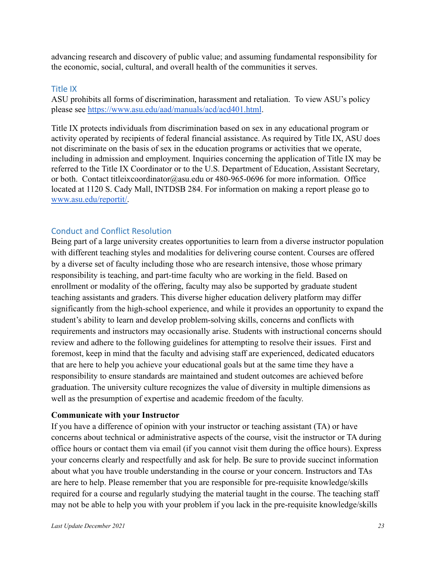advancing research and discovery of public value; and assuming fundamental responsibility for the economic, social, cultural, and overall health of the communities it serves.

#### <span id="page-22-0"></span>Title IX

ASU prohibits all forms of discrimination, harassment and retaliation. To view ASU's policy please see <https://www.asu.edu/aad/manuals/acd/acd401.html>.

Title IX protects individuals from discrimination based on sex in any educational program or activity operated by recipients of federal financial assistance. As required by Title IX, ASU does not discriminate on the basis of sex in the education programs or activities that we operate, including in admission and employment. Inquiries concerning the application of Title IX may be referred to the Title IX Coordinator or to the U.S. Department of Education, Assistant Secretary, or both. Contact titleixcoordinator@asu.edu or 480-965-0696 for more information. Office located at 1120 S. Cady Mall, INTDSB 284. For information on making a report please go t[o](http://www.asu.edu/reportit/) [www.asu.edu/reportit/.](http://www.asu.edu/reportit/)

### <span id="page-22-1"></span>Conduct and Conflict Resolution

Being part of a large university creates opportunities to learn from a diverse instructor population with different teaching styles and modalities for delivering course content. Courses are offered by a diverse set of faculty including those who are research intensive, those whose primary responsibility is teaching, and part-time faculty who are working in the field. Based on enrollment or modality of the offering, faculty may also be supported by graduate student teaching assistants and graders. This diverse higher education delivery platform may differ significantly from the high-school experience, and while it provides an opportunity to expand the student's ability to learn and develop problem-solving skills, concerns and conflicts with requirements and instructors may occasionally arise. Students with instructional concerns should review and adhere to the following guidelines for attempting to resolve their issues. First and foremost, keep in mind that the faculty and advising staff are experienced, dedicated educators that are here to help you achieve your educational goals but at the same time they have a responsibility to ensure standards are maintained and student outcomes are achieved before graduation. The university culture recognizes the value of diversity in multiple dimensions as well as the presumption of expertise and academic freedom of the faculty.

### **Communicate with your Instructor**

If you have a difference of opinion with your instructor or teaching assistant (TA) or have concerns about technical or administrative aspects of the course, visit the instructor or TA during office hours or contact them via email (if you cannot visit them during the office hours). Express your concerns clearly and respectfully and ask for help. Be sure to provide succinct information about what you have trouble understanding in the course or your concern. Instructors and TAs are here to help. Please remember that you are responsible for pre-requisite knowledge/skills required for a course and regularly studying the material taught in the course. The teaching staff may not be able to help you with your problem if you lack in the pre-requisite knowledge/skills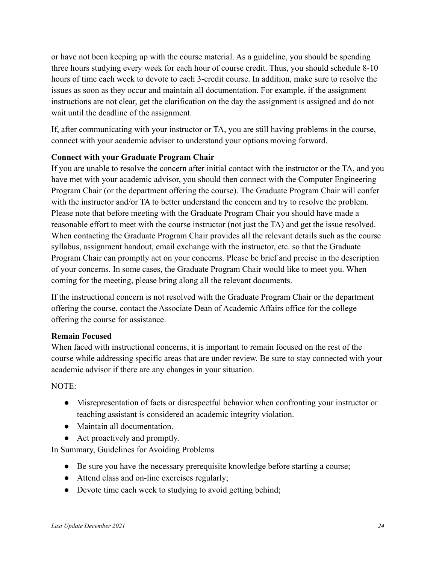or have not been keeping up with the course material. As a guideline, you should be spending three hours studying every week for each hour of course credit. Thus, you should schedule 8-10 hours of time each week to devote to each 3-credit course. In addition, make sure to resolve the issues as soon as they occur and maintain all documentation. For example, if the assignment instructions are not clear, get the clarification on the day the assignment is assigned and do not wait until the deadline of the assignment.

If, after communicating with your instructor or TA, you are still having problems in the course, connect with your academic advisor to understand your options moving forward.

### **Connect with your Graduate Program Chair**

If you are unable to resolve the concern after initial contact with the instructor or the TA, and you have met with your academic advisor, you should then connect with the Computer Engineering Program Chair (or the department offering the course). The Graduate Program Chair will confer with the instructor and/or TA to better understand the concern and try to resolve the problem. Please note that before meeting with the Graduate Program Chair you should have made a reasonable effort to meet with the course instructor (not just the TA) and get the issue resolved. When contacting the Graduate Program Chair provides all the relevant details such as the course syllabus, assignment handout, email exchange with the instructor, etc. so that the Graduate Program Chair can promptly act on your concerns. Please be brief and precise in the description of your concerns. In some cases, the Graduate Program Chair would like to meet you. When coming for the meeting, please bring along all the relevant documents.

If the instructional concern is not resolved with the Graduate Program Chair or the department offering the course, contact the Associate Dean of Academic Affairs office for the college offering the course for assistance.

### **Remain Focused**

When faced with instructional concerns, it is important to remain focused on the rest of the course while addressing specific areas that are under review. Be sure to stay connected with your academic advisor if there are any changes in your situation.

NOTE:

- Misrepresentation of facts or disrespectful behavior when confronting your instructor or teaching assistant is considered an academic integrity violation.
- Maintain all documentation.
- Act proactively and promptly.

In Summary, Guidelines for Avoiding Problems

- Be sure you have the necessary prerequisite knowledge before starting a course;
- Attend class and on-line exercises regularly;
- Devote time each week to studying to avoid getting behind;